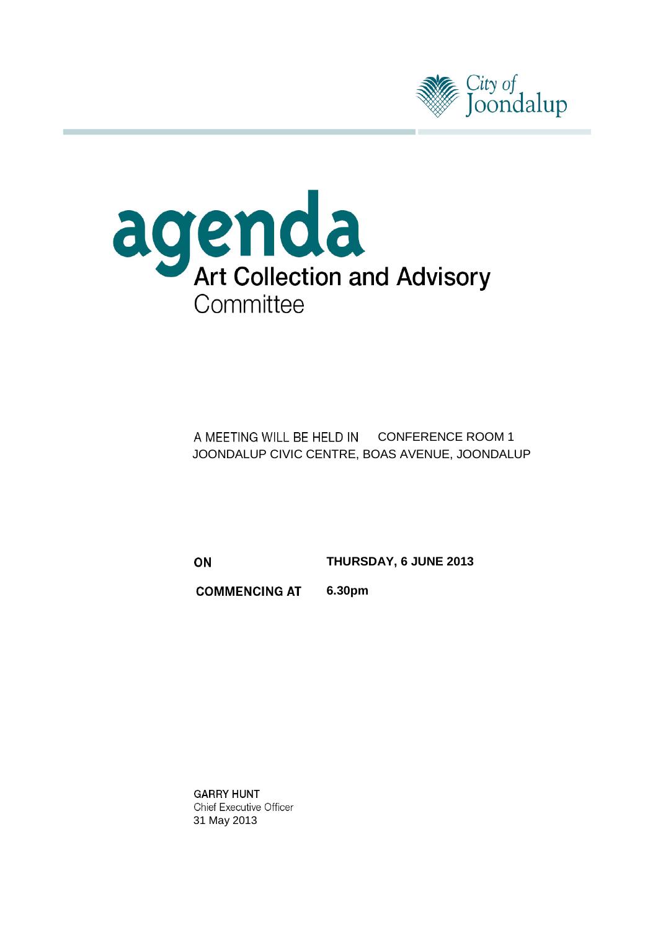



A MEETING WILL BE HELD IN CONFERENCE ROOM 1 JOONDALUP CIVIC CENTRE, BOAS AVENUE, JOONDALUP

ON

**THURSDAY, 6 JUNE 2013**

**COMMENCING AT 6.30pm**

**GARRY HUNT Chief Executive Officer** 31 May 2013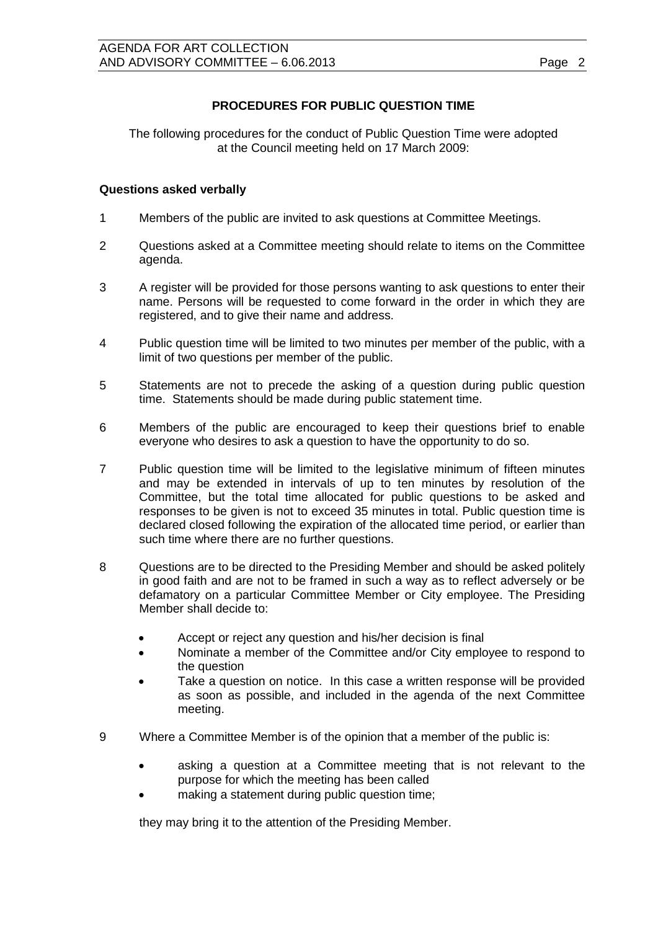## **PROCEDURES FOR PUBLIC QUESTION TIME**

The following procedures for the conduct of Public Question Time were adopted at the Council meeting held on 17 March 2009:

## **Questions asked verbally**

- 1 Members of the public are invited to ask questions at Committee Meetings.
- 2 Questions asked at a Committee meeting should relate to items on the Committee agenda.
- 3 A register will be provided for those persons wanting to ask questions to enter their name. Persons will be requested to come forward in the order in which they are registered, and to give their name and address.
- 4 Public question time will be limited to two minutes per member of the public, with a limit of two questions per member of the public.
- 5 Statements are not to precede the asking of a question during public question time. Statements should be made during public statement time.
- 6 Members of the public are encouraged to keep their questions brief to enable everyone who desires to ask a question to have the opportunity to do so.
- 7 Public question time will be limited to the legislative minimum of fifteen minutes and may be extended in intervals of up to ten minutes by resolution of the Committee, but the total time allocated for public questions to be asked and responses to be given is not to exceed 35 minutes in total. Public question time is declared closed following the expiration of the allocated time period, or earlier than such time where there are no further questions.
- 8 Questions are to be directed to the Presiding Member and should be asked politely in good faith and are not to be framed in such a way as to reflect adversely or be defamatory on a particular Committee Member or City employee. The Presiding Member shall decide to:
	- Accept or reject any question and his/her decision is final
	- Nominate a member of the Committee and/or City employee to respond to the question
	- Take a question on notice. In this case a written response will be provided as soon as possible, and included in the agenda of the next Committee meeting.
- 9 Where a Committee Member is of the opinion that a member of the public is:
	- asking a question at a Committee meeting that is not relevant to the purpose for which the meeting has been called
	- making a statement during public question time;

they may bring it to the attention of the Presiding Member.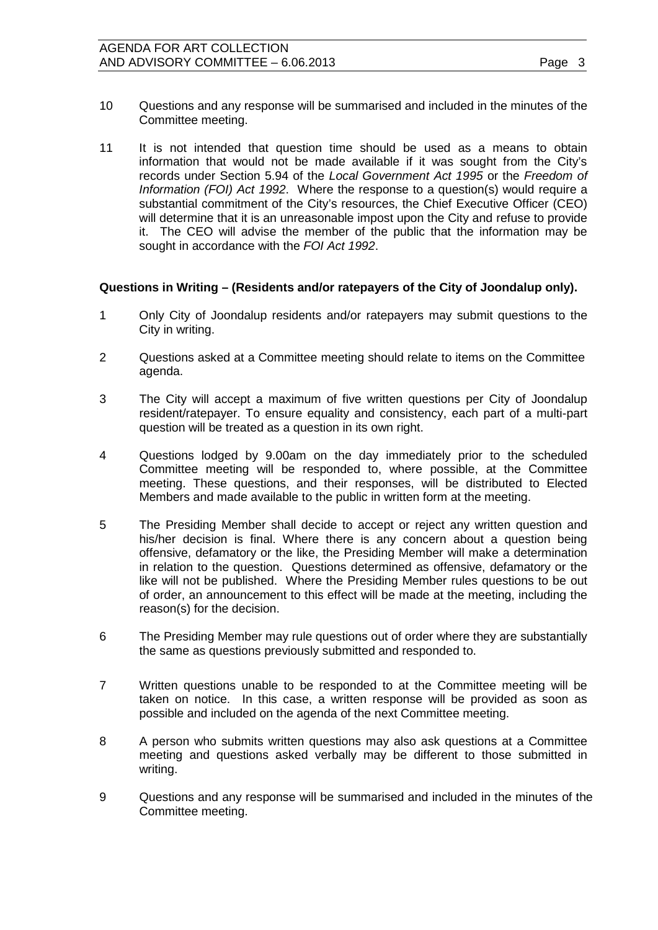- 10 Questions and any response will be summarised and included in the minutes of the Committee meeting.
- 11 It is not intended that question time should be used as a means to obtain information that would not be made available if it was sought from the City's records under Section 5.94 of the *Local Government Act 1995* or the *Freedom of Information (FOI) Act 1992*. Where the response to a question(s) would require a substantial commitment of the City's resources, the Chief Executive Officer (CEO) will determine that it is an unreasonable impost upon the City and refuse to provide it. The CEO will advise the member of the public that the information may be sought in accordance with the *FOI Act 1992*.

## **Questions in Writing – (Residents and/or ratepayers of the City of Joondalup only).**

- 1 Only City of Joondalup residents and/or ratepayers may submit questions to the City in writing.
- 2 Questions asked at a Committee meeting should relate to items on the Committee agenda.
- 3 The City will accept a maximum of five written questions per City of Joondalup resident/ratepayer. To ensure equality and consistency, each part of a multi-part question will be treated as a question in its own right.
- 4 Questions lodged by 9.00am on the day immediately prior to the scheduled Committee meeting will be responded to, where possible, at the Committee meeting. These questions, and their responses, will be distributed to Elected Members and made available to the public in written form at the meeting.
- 5 The Presiding Member shall decide to accept or reject any written question and his/her decision is final. Where there is any concern about a question being offensive, defamatory or the like, the Presiding Member will make a determination in relation to the question. Questions determined as offensive, defamatory or the like will not be published. Where the Presiding Member rules questions to be out of order, an announcement to this effect will be made at the meeting, including the reason(s) for the decision.
- 6 The Presiding Member may rule questions out of order where they are substantially the same as questions previously submitted and responded to.
- 7 Written questions unable to be responded to at the Committee meeting will be taken on notice. In this case, a written response will be provided as soon as possible and included on the agenda of the next Committee meeting.
- 8 A person who submits written questions may also ask questions at a Committee meeting and questions asked verbally may be different to those submitted in writing.
- 9 Questions and any response will be summarised and included in the minutes of the Committee meeting.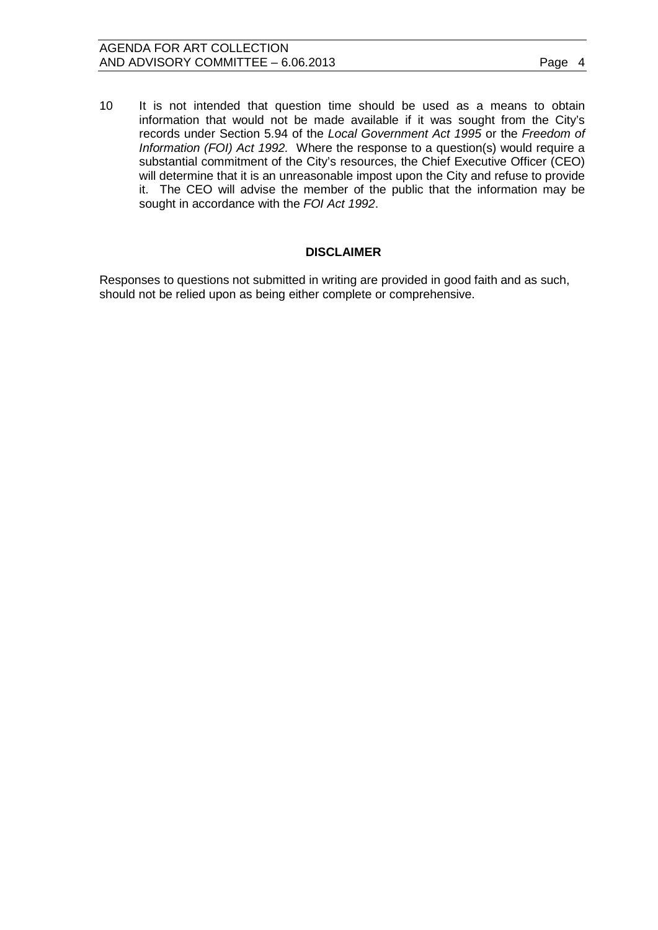10 It is not intended that question time should be used as a means to obtain information that would not be made available if it was sought from the City's records under Section 5.94 of the *Local Government Act 1995* or the *Freedom of Information (FOI) Act 1992.* Where the response to a question(s) would require a substantial commitment of the City's resources, the Chief Executive Officer (CEO) will determine that it is an unreasonable impost upon the City and refuse to provide it. The CEO will advise the member of the public that the information may be sought in accordance with the *FOI Act 1992*.

## **DISCLAIMER**

Responses to questions not submitted in writing are provided in good faith and as such, should not be relied upon as being either complete or comprehensive.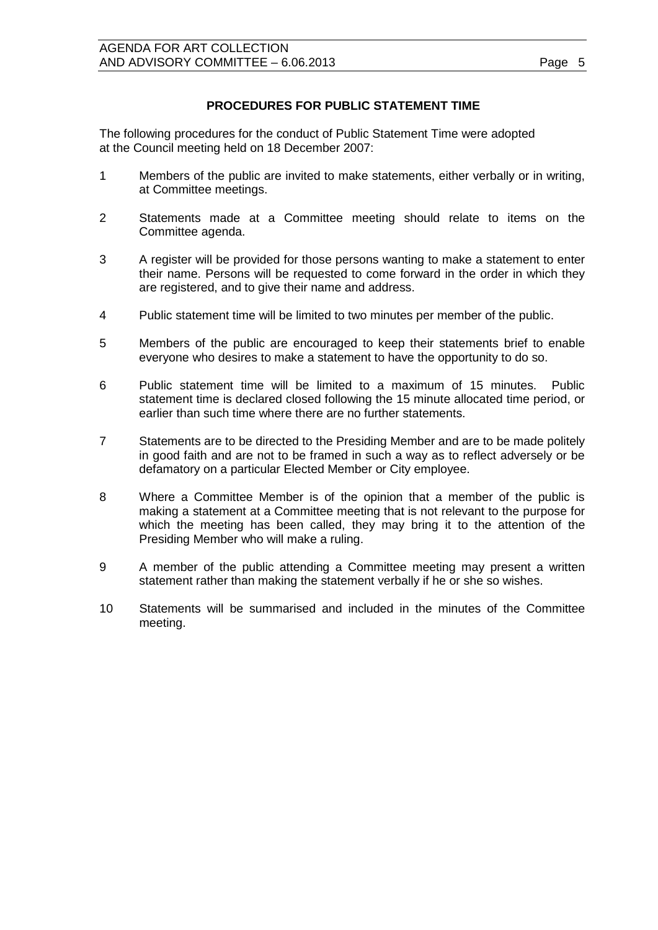## **PROCEDURES FOR PUBLIC STATEMENT TIME**

The following procedures for the conduct of Public Statement Time were adopted at the Council meeting held on 18 December 2007:

- 1 Members of the public are invited to make statements, either verbally or in writing, at Committee meetings.
- 2 Statements made at a Committee meeting should relate to items on the Committee agenda.
- 3 A register will be provided for those persons wanting to make a statement to enter their name. Persons will be requested to come forward in the order in which they are registered, and to give their name and address.
- 4 Public statement time will be limited to two minutes per member of the public.
- 5 Members of the public are encouraged to keep their statements brief to enable everyone who desires to make a statement to have the opportunity to do so.
- 6 Public statement time will be limited to a maximum of 15 minutes. Public statement time is declared closed following the 15 minute allocated time period, or earlier than such time where there are no further statements.
- 7 Statements are to be directed to the Presiding Member and are to be made politely in good faith and are not to be framed in such a way as to reflect adversely or be defamatory on a particular Elected Member or City employee.
- 8 Where a Committee Member is of the opinion that a member of the public is making a statement at a Committee meeting that is not relevant to the purpose for which the meeting has been called, they may bring it to the attention of the Presiding Member who will make a ruling.
- 9 A member of the public attending a Committee meeting may present a written statement rather than making the statement verbally if he or she so wishes.
- 10 Statements will be summarised and included in the minutes of the Committee meeting.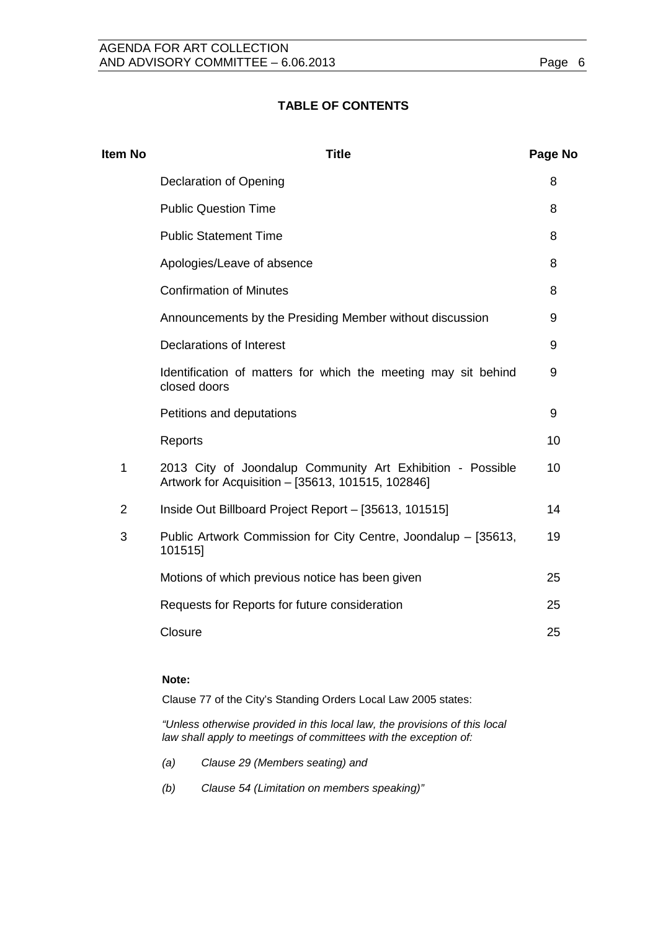## **TABLE OF CONTENTS**

| Item No        | <b>Title</b>                                                                                                    | Page No |
|----------------|-----------------------------------------------------------------------------------------------------------------|---------|
|                | <b>Declaration of Opening</b>                                                                                   | 8       |
|                | <b>Public Question Time</b>                                                                                     | 8       |
|                | <b>Public Statement Time</b>                                                                                    | 8       |
|                | Apologies/Leave of absence                                                                                      | 8       |
|                | <b>Confirmation of Minutes</b>                                                                                  | 8       |
|                | Announcements by the Presiding Member without discussion                                                        | 9       |
|                | Declarations of Interest                                                                                        | 9       |
|                | Identification of matters for which the meeting may sit behind<br>closed doors                                  | 9       |
|                | Petitions and deputations                                                                                       | 9       |
|                | Reports                                                                                                         | 10      |
| 1              | 2013 City of Joondalup Community Art Exhibition - Possible<br>Artwork for Acquisition - [35613, 101515, 102846] | 10      |
| $\overline{2}$ | Inside Out Billboard Project Report - [35613, 101515]                                                           | 14      |
| 3              | Public Artwork Commission for City Centre, Joondalup - [35613,<br>101515]                                       | 19      |
|                | Motions of which previous notice has been given                                                                 | 25      |
|                | Requests for Reports for future consideration                                                                   | 25      |
|                | Closure                                                                                                         | 25      |
|                |                                                                                                                 |         |

## **Note:**

Clause 77 of the City's Standing Orders Local Law 2005 states:

*"Unless otherwise provided in this local law, the provisions of this local law shall apply to meetings of committees with the exception of:*

- *(a) Clause 29 (Members seating) and*
- *(b) Clause 54 (Limitation on members speaking)"*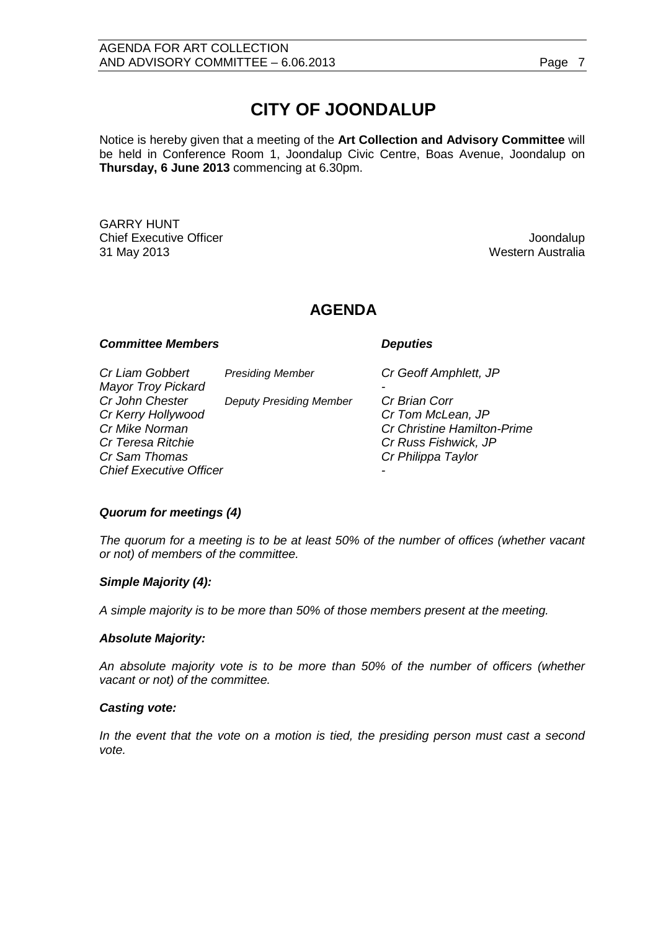# **CITY OF JOONDALUP**

Notice is hereby given that a meeting of the **Art Collection and Advisory Committee** will be held in Conference Room 1, Joondalup Civic Centre, Boas Avenue, Joondalup on **Thursday, 6 June 2013** commencing at 6.30pm.

GARRY HUNT **Chief Executive Officer Joseph According to the Chief Executive Officer Joseph According to the Chief According to the Chief According to the Chief According to the Chief According to the Chief According to the Chief Acco** 31 May 2013 Western Australia

## **AGENDA**

#### *Committee Members Deputies*

| Cr Liam Gobbert                | <b>Presiding Member</b>        | Cr Geoff Amphlett, JP       |
|--------------------------------|--------------------------------|-----------------------------|
| <b>Mayor Troy Pickard</b>      |                                |                             |
| Cr John Chester                | <b>Deputy Presiding Member</b> | Cr Brian Corr               |
| Cr Kerry Hollywood             |                                | Cr Tom McLean, JP           |
| Cr Mike Norman                 |                                | Cr Christine Hamilton-Prime |
| Cr Teresa Ritchie              |                                | Cr Russ Fishwick, JP        |
| Cr Sam Thomas                  |                                | Cr Philippa Taylor          |
| <b>Chief Executive Officer</b> |                                |                             |

## *Quorum for meetings (4)*

*The quorum for a meeting is to be at least 50% of the number of offices (whether vacant or not) of members of the committee.*

### *Simple Majority (4):*

*A simple majority is to be more than 50% of those members present at the meeting.*

### *Absolute Majority:*

*An absolute majority vote is to be more than 50% of the number of officers (whether vacant or not) of the committee.*

#### *Casting vote:*

*In the event that the vote on a motion is tied, the presiding person must cast a second vote.*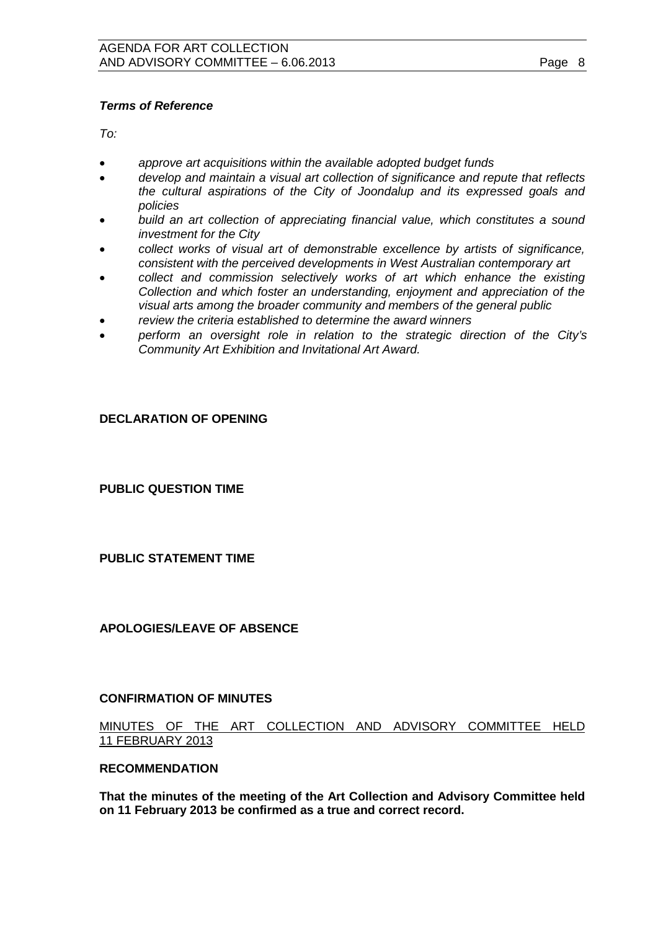## *Terms of Reference*

*To:*

- *approve art acquisitions within the available adopted budget funds*
- *develop and maintain a visual art collection of significance and repute that reflects the cultural aspirations of the City of Joondalup and its expressed goals and policies*
- *build an art collection of appreciating financial value, which constitutes a sound investment for the City*
- *collect works of visual art of demonstrable excellence by artists of significance, consistent with the perceived developments in West Australian contemporary art*
- *collect and commission selectively works of art which enhance the existing Collection and which foster an understanding, enjoyment and appreciation of the visual arts among the broader community and members of the general public*
- *review the criteria established to determine the award winners*
- *perform an oversight role in relation to the strategic direction of the City's Community Art Exhibition and Invitational Art Award.*

## <span id="page-7-0"></span>**DECLARATION OF OPENING**

<span id="page-7-1"></span>**PUBLIC QUESTION TIME**

<span id="page-7-2"></span>**PUBLIC STATEMENT TIME**

<span id="page-7-3"></span>**APOLOGIES/LEAVE OF ABSENCE**

## <span id="page-7-4"></span>**CONFIRMATION OF MINUTES**

## MINUTES OF THE ART COLLECTION AND ADVISORY COMMITTEE HELD 11 FEBRUARY 2013

### **RECOMMENDATION**

**That the minutes of the meeting of the Art Collection and Advisory Committee held on 11 February 2013 be confirmed as a true and correct record.**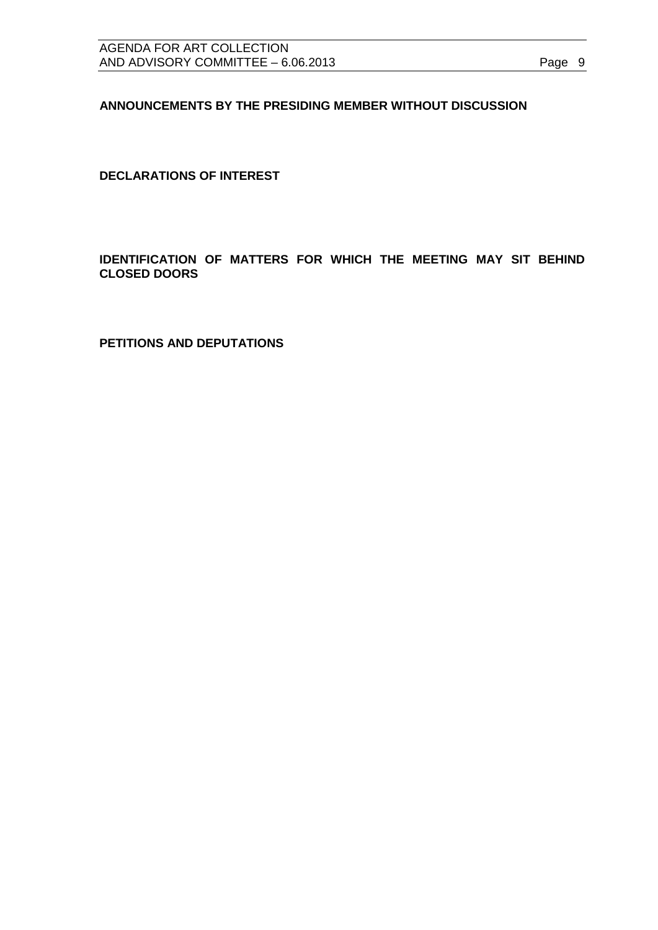<span id="page-8-0"></span>**ANNOUNCEMENTS BY THE PRESIDING MEMBER WITHOUT DISCUSSION**

<span id="page-8-1"></span>**DECLARATIONS OF INTEREST**

<span id="page-8-2"></span>**IDENTIFICATION OF MATTERS FOR WHICH THE MEETING MAY SIT BEHIND CLOSED DOORS**

<span id="page-8-3"></span>**PETITIONS AND DEPUTATIONS**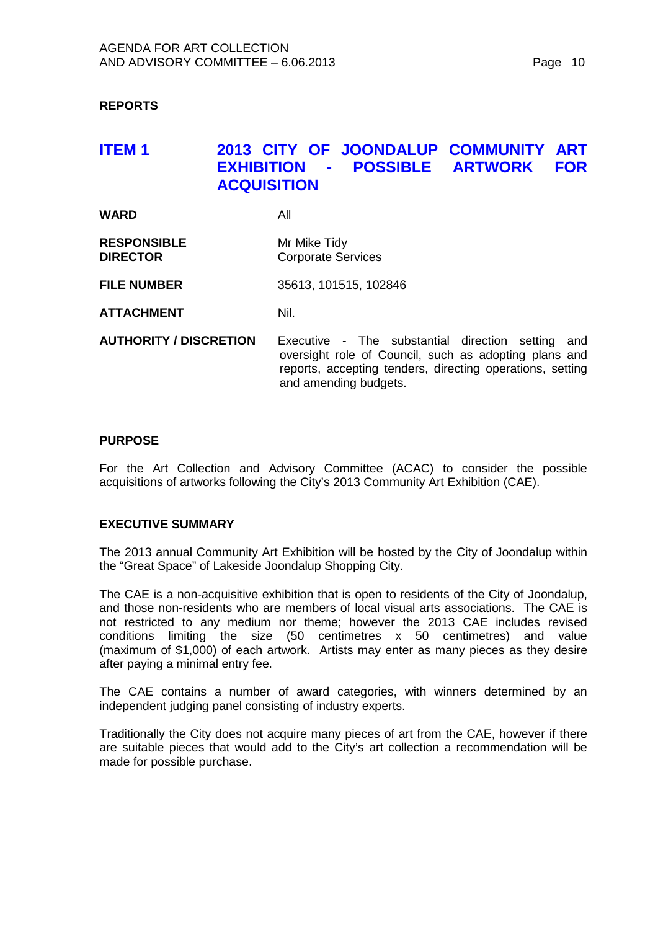## <span id="page-9-0"></span>**REPORTS**

## <span id="page-9-1"></span>**ITEM 1 2013 CITY OF JOONDALUP COMMUNITY ART EXHIBITION - POSSIBLE ARTWORK FOR ACQUISITION**

| <b>WARD</b>                           | All                                                                                                                                                                                              |  |
|---------------------------------------|--------------------------------------------------------------------------------------------------------------------------------------------------------------------------------------------------|--|
| <b>RESPONSIBLE</b><br><b>DIRECTOR</b> | Mr Mike Tidy<br><b>Corporate Services</b>                                                                                                                                                        |  |
| <b>FILE NUMBER</b>                    | 35613, 101515, 102846                                                                                                                                                                            |  |
| <b>ATTACHMENT</b>                     | Nil.                                                                                                                                                                                             |  |
| <b>AUTHORITY / DISCRETION</b>         | Executive - The substantial direction setting and<br>oversight role of Council, such as adopting plans and<br>reports, accepting tenders, directing operations, setting<br>and amending budgets. |  |

### **PURPOSE**

For the Art Collection and Advisory Committee (ACAC) to consider the possible acquisitions of artworks following the City's 2013 Community Art Exhibition (CAE).

### **EXECUTIVE SUMMARY**

The 2013 annual Community Art Exhibition will be hosted by the City of Joondalup within the "Great Space" of Lakeside Joondalup Shopping City.

The CAE is a non-acquisitive exhibition that is open to residents of the City of Joondalup, and those non-residents who are members of local visual arts associations. The CAE is not restricted to any medium nor theme; however the 2013 CAE includes revised conditions limiting the size (50 centimetres x 50 centimetres) and value (maximum of \$1,000) of each artwork. Artists may enter as many pieces as they desire after paying a minimal entry fee.

The CAE contains a number of award categories, with winners determined by an independent judging panel consisting of industry experts.

Traditionally the City does not acquire many pieces of art from the CAE, however if there are suitable pieces that would add to the City's art collection a recommendation will be made for possible purchase.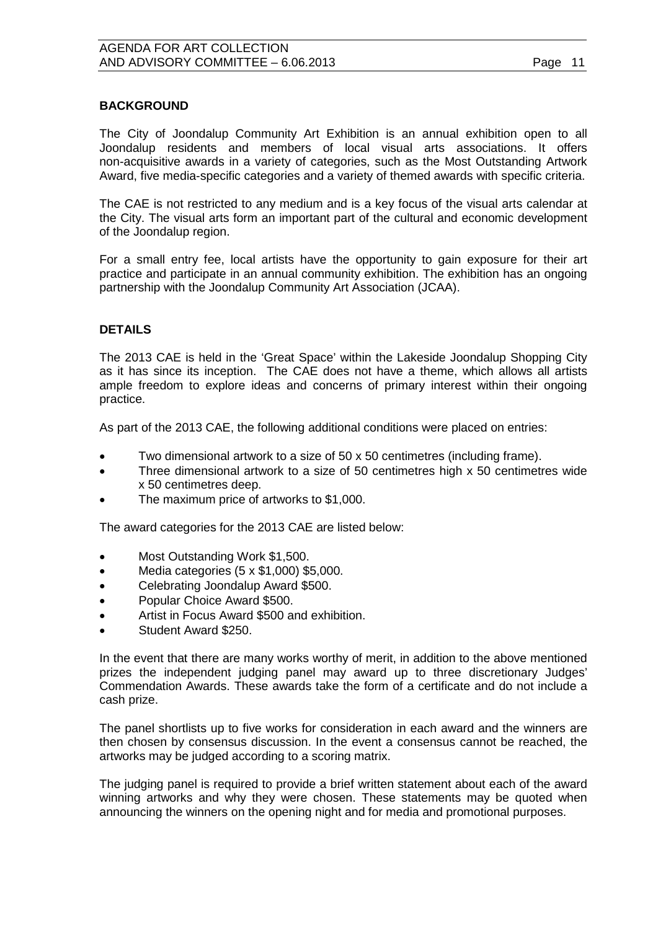## **BACKGROUND**

The City of Joondalup Community Art Exhibition is an annual exhibition open to all Joondalup residents and members of local visual arts associations. It offers non-acquisitive awards in a variety of categories, such as the Most Outstanding Artwork Award, five media-specific categories and a variety of themed awards with specific criteria.

The CAE is not restricted to any medium and is a key focus of the visual arts calendar at the City. The visual arts form an important part of the cultural and economic development of the Joondalup region.

For a small entry fee, local artists have the opportunity to gain exposure for their art practice and participate in an annual community exhibition. The exhibition has an ongoing partnership with the Joondalup Community Art Association (JCAA).

## **DETAILS**

The 2013 CAE is held in the 'Great Space' within the Lakeside Joondalup Shopping City as it has since its inception. The CAE does not have a theme, which allows all artists ample freedom to explore ideas and concerns of primary interest within their ongoing practice.

As part of the 2013 CAE, the following additional conditions were placed on entries:

- Two dimensional artwork to a size of 50 x 50 centimetres (including frame).
- Three dimensional artwork to a size of 50 centimetres high x 50 centimetres wide x 50 centimetres deep.
- The maximum price of artworks to \$1,000.

The award categories for the 2013 CAE are listed below:

- Most Outstanding Work \$1,500.
- Media categories (5 x \$1,000) \$5,000.
- Celebrating Joondalup Award \$500.
- Popular Choice Award \$500.
- Artist in Focus Award \$500 and exhibition.
- Student Award \$250.

In the event that there are many works worthy of merit, in addition to the above mentioned prizes the independent judging panel may award up to three discretionary Judges' Commendation Awards. These awards take the form of a certificate and do not include a cash prize.

The panel shortlists up to five works for consideration in each award and the winners are then chosen by consensus discussion. In the event a consensus cannot be reached, the artworks may be judged according to a scoring matrix.

The judging panel is required to provide a brief written statement about each of the award winning artworks and why they were chosen. These statements may be quoted when announcing the winners on the opening night and for media and promotional purposes.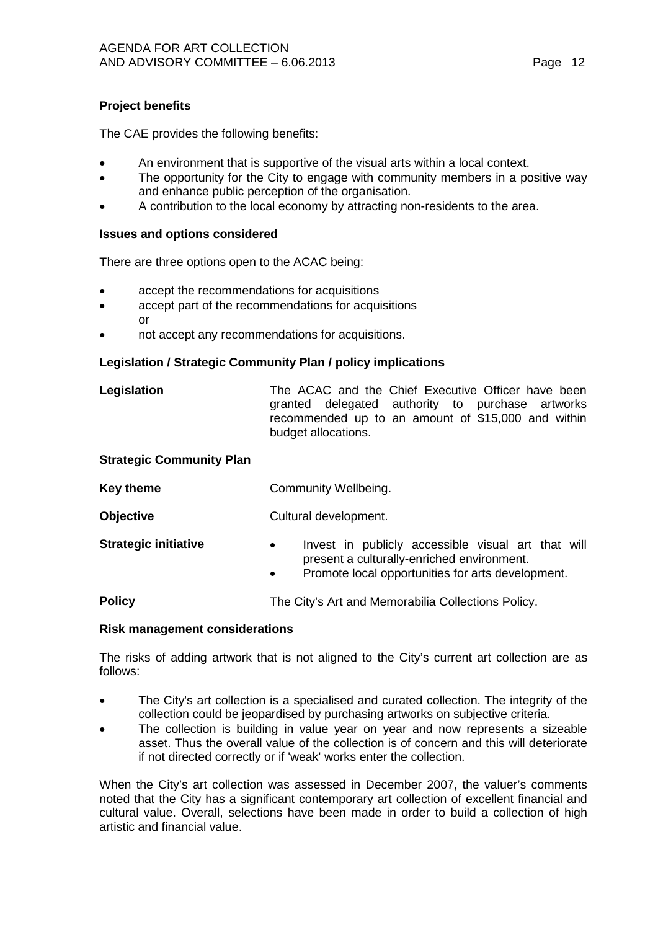## **Project benefits**

The CAE provides the following benefits:

- An environment that is supportive of the visual arts within a local context.
- The opportunity for the City to engage with community members in a positive way and enhance public perception of the organisation.
- A contribution to the local economy by attracting non-residents to the area.

## **Issues and options considered**

There are three options open to the ACAC being:

- accept the recommendations for acquisitions
- accept part of the recommendations for acquisitions or
- not accept any recommendations for acquisitions.

## **Legislation / Strategic Community Plan / policy implications**

## Legislation **The ACAC** and the Chief Executive Officer have been granted delegated authority to purchase artworks recommended up to an amount of \$15,000 and within budget allocations.

## **Strategic Community Plan**

| <b>Key theme</b>            | Community Wellbeing.                                                                                                                                                            |  |  |
|-----------------------------|---------------------------------------------------------------------------------------------------------------------------------------------------------------------------------|--|--|
| <b>Objective</b>            | Cultural development.                                                                                                                                                           |  |  |
| <b>Strategic initiative</b> | Invest in publicly accessible visual art that will<br>$\bullet$<br>present a culturally-enriched environment.<br>Promote local opportunities for arts development.<br>$\bullet$ |  |  |
| <b>Policy</b>               | The City's Art and Memorabilia Collections Policy.                                                                                                                              |  |  |

### **Risk management considerations**

The risks of adding artwork that is not aligned to the City's current art collection are as follows:

- The City's art collection is a specialised and curated collection. The integrity of the collection could be jeopardised by purchasing artworks on subjective criteria.
- The collection is building in value year on year and now represents a sizeable asset. Thus the overall value of the collection is of concern and this will deteriorate if not directed correctly or if 'weak' works enter the collection.

When the City's art collection was assessed in December 2007, the valuer's comments noted that the City has a significant contemporary art collection of excellent financial and cultural value. Overall, selections have been made in order to build a collection of high artistic and financial value.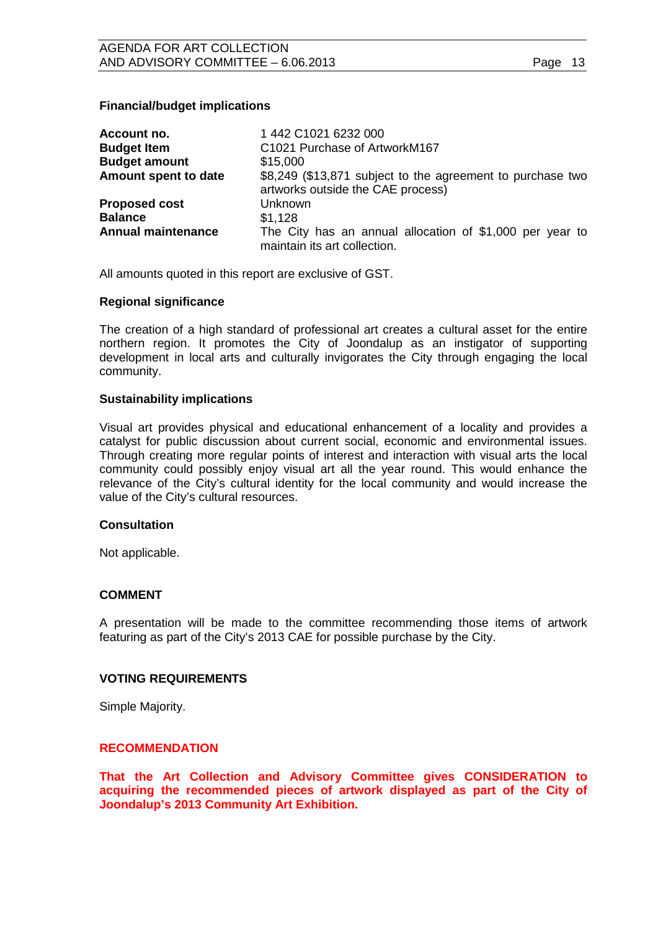## **Financial/budget implications**

| Account no.               | 1 442 C1021 6232 000                                                                            |  |  |
|---------------------------|-------------------------------------------------------------------------------------------------|--|--|
| <b>Budget Item</b>        | C1021 Purchase of ArtworkM167                                                                   |  |  |
| <b>Budget amount</b>      | \$15,000                                                                                        |  |  |
| Amount spent to date      | \$8,249 (\$13,871 subject to the agreement to purchase two<br>artworks outside the CAE process) |  |  |
| <b>Proposed cost</b>      | Unknown                                                                                         |  |  |
| <b>Balance</b>            | \$1,128                                                                                         |  |  |
| <b>Annual maintenance</b> | The City has an annual allocation of \$1,000 per year to<br>maintain its art collection.        |  |  |

All amounts quoted in this report are exclusive of GST.

### **Regional significance**

The creation of a high standard of professional art creates a cultural asset for the entire northern region. It promotes the City of Joondalup as an instigator of supporting development in local arts and culturally invigorates the City through engaging the local community.

## **Sustainability implications**

Visual art provides physical and educational enhancement of a locality and provides a catalyst for public discussion about current social, economic and environmental issues. Through creating more regular points of interest and interaction with visual arts the local community could possibly enjoy visual art all the year round. This would enhance the relevance of the City's cultural identity for the local community and would increase the value of the City's cultural resources.

## **Consultation**

Not applicable.

## **COMMENT**

A presentation will be made to the committee recommending those items of artwork featuring as part of the City's 2013 CAE for possible purchase by the City.

## **VOTING REQUIREMENTS**

Simple Majority.

## **RECOMMENDATION**

**That the Art Collection and Advisory Committee gives CONSIDERATION to acquiring the recommended pieces of artwork displayed as part of the City of Joondalup's 2013 Community Art Exhibition.**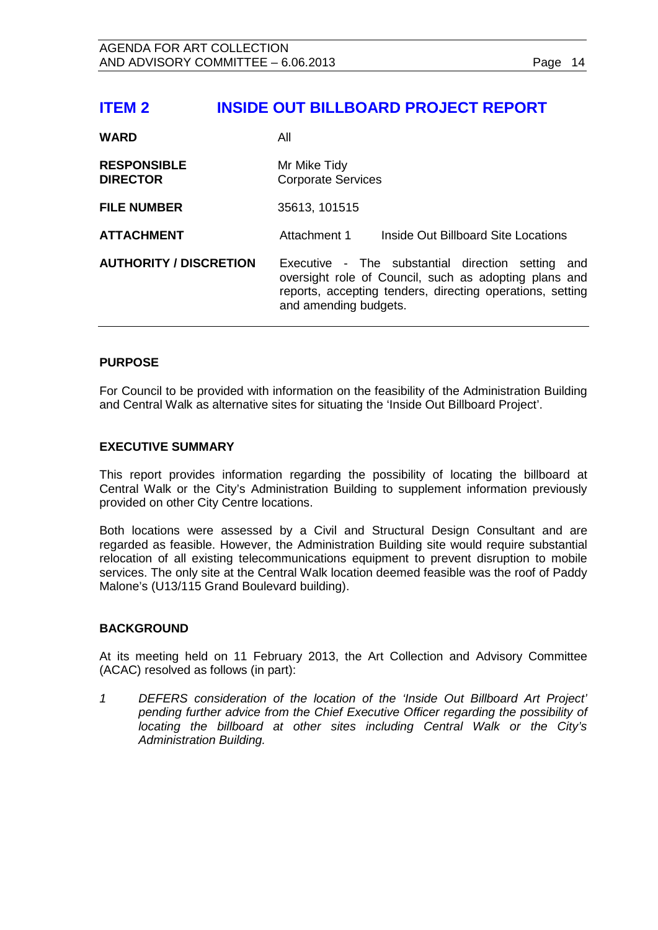## <span id="page-13-0"></span>**ITEM 2 INSIDE OUT BILLBOARD PROJECT REPORT**

| All                                                                                                                                                                                                 |  |  |
|-----------------------------------------------------------------------------------------------------------------------------------------------------------------------------------------------------|--|--|
| Mr Mike Tidy<br><b>Corporate Services</b>                                                                                                                                                           |  |  |
| 35613, 101515                                                                                                                                                                                       |  |  |
| Attachment 1<br>Inside Out Billboard Site Locations                                                                                                                                                 |  |  |
| Executive - The substantial direction setting<br>and<br>oversight role of Council, such as adopting plans and<br>reports, accepting tenders, directing operations, setting<br>and amending budgets. |  |  |
|                                                                                                                                                                                                     |  |  |

## **PURPOSE**

For Council to be provided with information on the feasibility of the Administration Building and Central Walk as alternative sites for situating the 'Inside Out Billboard Project'.

### **EXECUTIVE SUMMARY**

This report provides information regarding the possibility of locating the billboard at Central Walk or the City's Administration Building to supplement information previously provided on other City Centre locations.

Both locations were assessed by a Civil and Structural Design Consultant and are regarded as feasible. However, the Administration Building site would require substantial relocation of all existing telecommunications equipment to prevent disruption to mobile services. The only site at the Central Walk location deemed feasible was the roof of Paddy Malone's (U13/115 Grand Boulevard building).

### **BACKGROUND**

At its meeting held on 11 February 2013, the Art Collection and Advisory Committee (ACAC) resolved as follows (in part):

*1 DEFERS consideration of the location of the 'Inside Out Billboard Art Project' pending further advice from the Chief Executive Officer regarding the possibility of locating the billboard at other sites including Central Walk or the City's Administration Building.*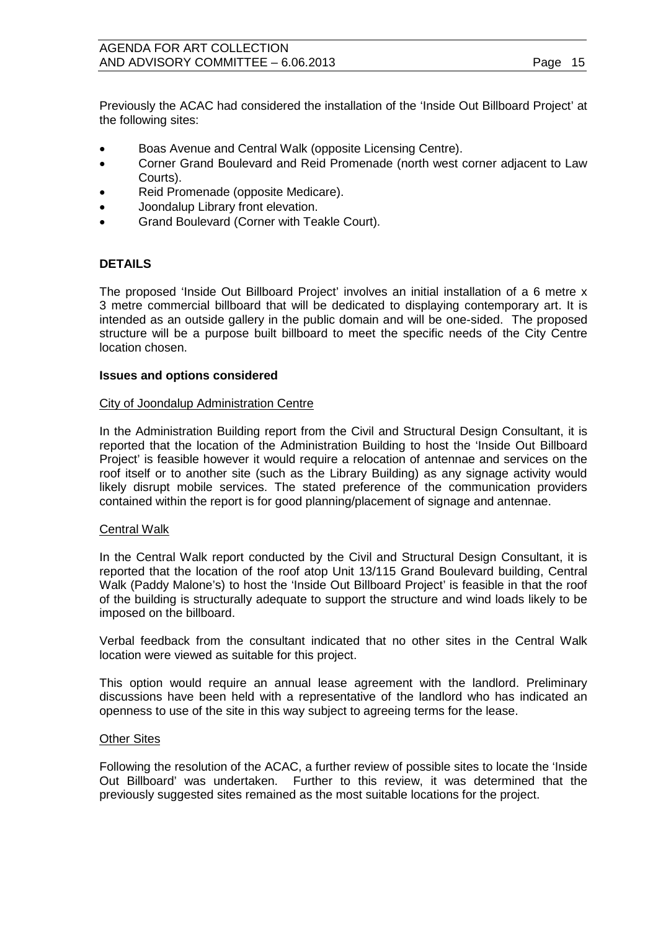Previously the ACAC had considered the installation of the 'Inside Out Billboard Project' at the following sites:

- Boas Avenue and Central Walk (opposite Licensing Centre).
- Corner Grand Boulevard and Reid Promenade (north west corner adjacent to Law Courts).
- Reid Promenade (opposite Medicare).
- Joondalup Library front elevation.
- Grand Boulevard (Corner with Teakle Court).

## **DETAILS**

The proposed 'Inside Out Billboard Project' involves an initial installation of a 6 metre x 3 metre commercial billboard that will be dedicated to displaying contemporary art. It is intended as an outside gallery in the public domain and will be one-sided. The proposed structure will be a purpose built billboard to meet the specific needs of the City Centre location chosen.

## **Issues and options considered**

## City of Joondalup Administration Centre

In the Administration Building report from the Civil and Structural Design Consultant, it is reported that the location of the Administration Building to host the 'Inside Out Billboard Project' is feasible however it would require a relocation of antennae and services on the roof itself or to another site (such as the Library Building) as any signage activity would likely disrupt mobile services. The stated preference of the communication providers contained within the report is for good planning/placement of signage and antennae.

### Central Walk

In the Central Walk report conducted by the Civil and Structural Design Consultant, it is reported that the location of the roof atop Unit 13/115 Grand Boulevard building, Central Walk (Paddy Malone's) to host the 'Inside Out Billboard Project' is feasible in that the roof of the building is structurally adequate to support the structure and wind loads likely to be imposed on the billboard.

Verbal feedback from the consultant indicated that no other sites in the Central Walk location were viewed as suitable for this project.

This option would require an annual lease agreement with the landlord. Preliminary discussions have been held with a representative of the landlord who has indicated an openness to use of the site in this way subject to agreeing terms for the lease.

### Other Sites

Following the resolution of the ACAC, a further review of possible sites to locate the 'Inside Out Billboard' was undertaken. Further to this review, it was determined that the previously suggested sites remained as the most suitable locations for the project.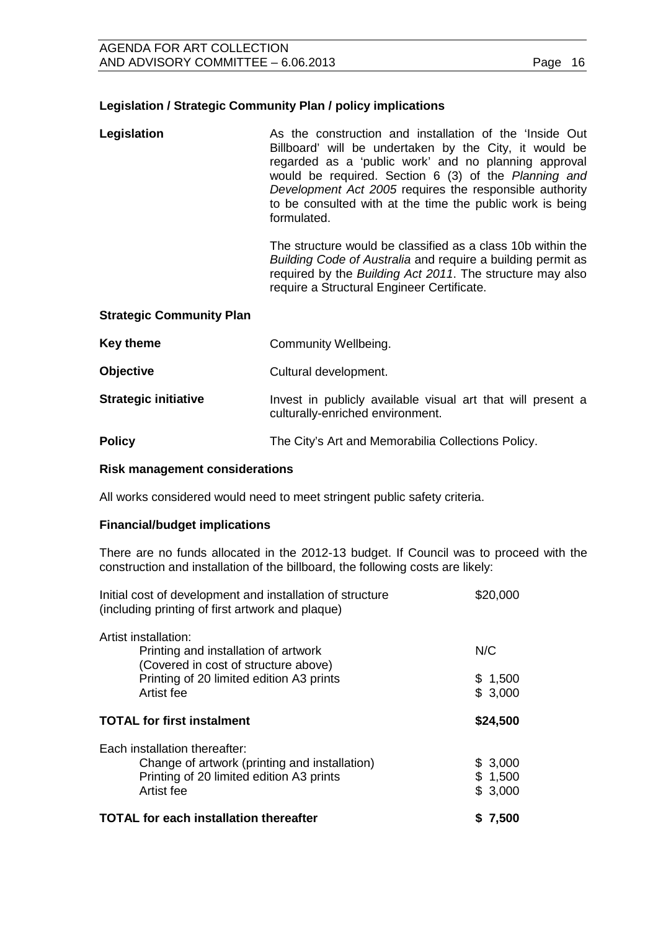## **Legislation / Strategic Community Plan / policy implications**

**Legislation As the construction and installation of the 'Inside Out** Billboard' will be undertaken by the City, it would be regarded as a 'public work' and no planning approval would be required. Section 6 (3) of the *Planning and Development Act 2005* requires the responsible authority to be consulted with at the time the public work is being formulated.

> The structure would be classified as a class 10b within the *Building Code of Australia* and require a building permit as required by the *Building Act 2011*. The structure may also require a Structural Engineer Certificate.

#### **Strategic Community Plan**

| Key theme                   | Community Wellbeing.                                                                            |
|-----------------------------|-------------------------------------------------------------------------------------------------|
| <b>Objective</b>            | Cultural development.                                                                           |
| <b>Strategic initiative</b> | Invest in publicly available visual art that will present a<br>culturally-enriched environment. |
| <b>Policy</b>               | The City's Art and Memorabilia Collections Policy.                                              |

#### **Risk management considerations**

All works considered would need to meet stringent public safety criteria.

#### **Financial/budget implications**

There are no funds allocated in the 2012-13 budget. If Council was to proceed with the construction and installation of the billboard, the following costs are likely:

| Initial cost of development and installation of structure<br>(including printing of first artwork and plaque)                                    | \$20,000       |
|--------------------------------------------------------------------------------------------------------------------------------------------------|----------------|
| Artist installation:<br>Printing and installation of artwork<br>(Covered in cost of structure above)<br>Printing of 20 limited edition A3 prints | N/C<br>\$1,500 |
| Artist fee                                                                                                                                       | \$3,000        |
| <b>TOTAL for first instalment</b>                                                                                                                | \$24,500       |
| Each installation thereafter:                                                                                                                    |                |
| Change of artwork (printing and installation)                                                                                                    | \$3,000        |
| Printing of 20 limited edition A3 prints<br>Artist fee                                                                                           | \$1,500        |
|                                                                                                                                                  | \$3,000        |
| <b>TOTAL for each installation thereafter</b>                                                                                                    | \$7,500        |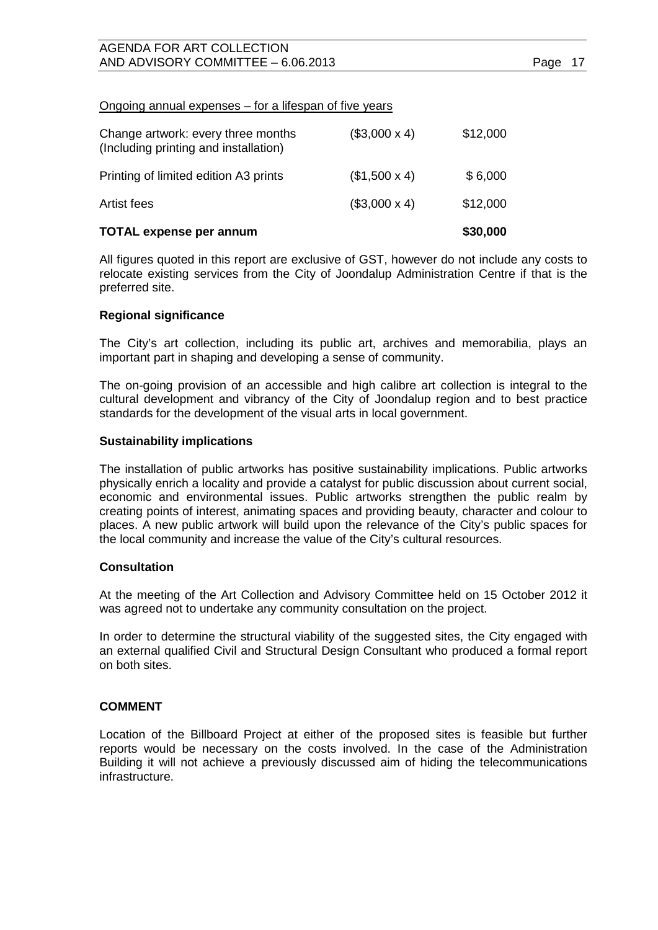#### Ongoing annual expenses – for a lifespan of five years

| <b>TOTAL expense per annum</b>                                              |                     | \$30,000 |
|-----------------------------------------------------------------------------|---------------------|----------|
| Artist fees                                                                 | $($3,000 \times 4)$ | \$12,000 |
| Printing of limited edition A3 prints                                       | $($1,500 \times 4)$ | \$6,000  |
| Change artwork: every three months<br>(Including printing and installation) | $($3,000 \times 4)$ | \$12,000 |

All figures quoted in this report are exclusive of GST, however do not include any costs to relocate existing services from the City of Joondalup Administration Centre if that is the preferred site.

### **Regional significance**

The City's art collection, including its public art, archives and memorabilia, plays an important part in shaping and developing a sense of community.

The on-going provision of an accessible and high calibre art collection is integral to the cultural development and vibrancy of the City of Joondalup region and to best practice standards for the development of the visual arts in local government.

#### **Sustainability implications**

The installation of public artworks has positive sustainability implications. Public artworks physically enrich a locality and provide a catalyst for public discussion about current social, economic and environmental issues. Public artworks strengthen the public realm by creating points of interest, animating spaces and providing beauty, character and colour to places. A new public artwork will build upon the relevance of the City's public spaces for the local community and increase the value of the City's cultural resources.

### **Consultation**

At the meeting of the Art Collection and Advisory Committee held on 15 October 2012 it was agreed not to undertake any community consultation on the project.

In order to determine the structural viability of the suggested sites, the City engaged with an external qualified Civil and Structural Design Consultant who produced a formal report on both sites.

### **COMMENT**

Location of the Billboard Project at either of the proposed sites is feasible but further reports would be necessary on the costs involved. In the case of the Administration Building it will not achieve a previously discussed aim of hiding the telecommunications infrastructure.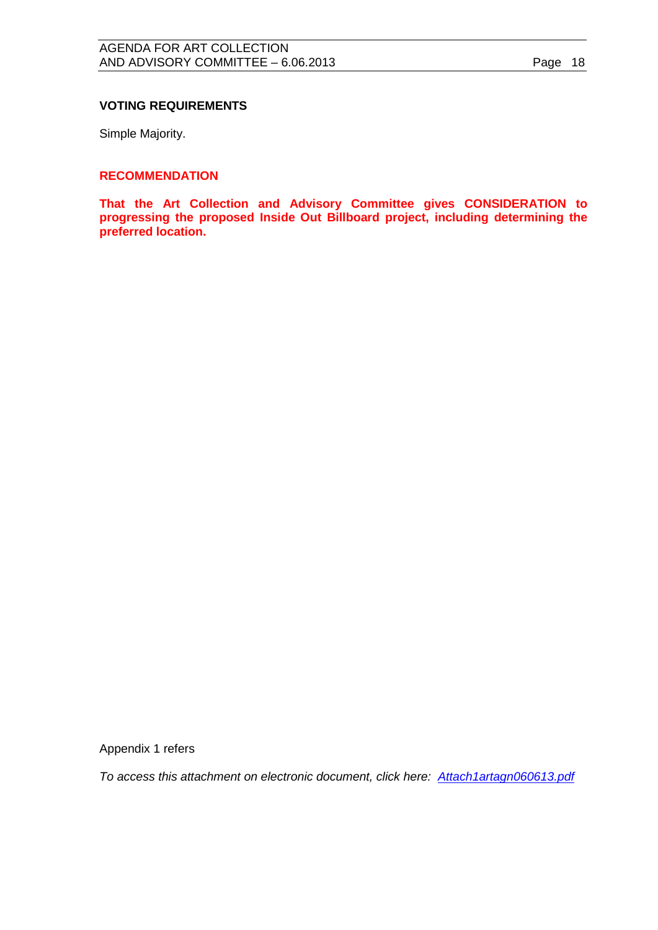## **VOTING REQUIREMENTS**

Simple Majority.

### **RECOMMENDATION**

**That the Art Collection and Advisory Committee gives CONSIDERATION to progressing the proposed Inside Out Billboard project, including determining the preferred location.**

Appendix 1 refers

*To access this attachment on electronic document, click here: [Attach1artagn060613.pdf](http://www.joondalup.wa.gov.au/files/committees/ACAC/2013/Attach1artagn060613.pdf)*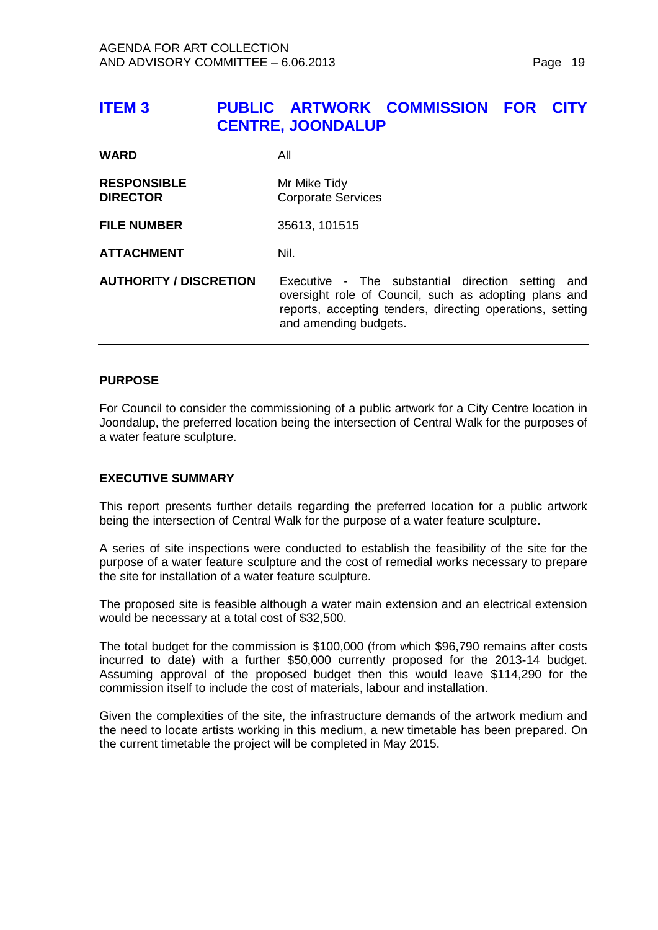<span id="page-18-0"></span>

| <b>ITEM3</b>                          | PUBLIC ARTWORK COMMISSION<br><b>CENTRE, JOONDALUP</b>                                                                                                                                            |  | <b>FOR</b> |  |
|---------------------------------------|--------------------------------------------------------------------------------------------------------------------------------------------------------------------------------------------------|--|------------|--|
| <b>WARD</b>                           | All                                                                                                                                                                                              |  |            |  |
| <b>RESPONSIBLE</b><br><b>DIRECTOR</b> | Mr Mike Tidy<br><b>Corporate Services</b>                                                                                                                                                        |  |            |  |
| <b>FILE NUMBER</b>                    | 35613, 101515                                                                                                                                                                                    |  |            |  |
| <b>ATTACHMENT</b>                     | Nil.                                                                                                                                                                                             |  |            |  |
| <b>AUTHORITY / DISCRETION</b>         | Executive - The substantial direction setting and<br>oversight role of Council, such as adopting plans and<br>reports, accepting tenders, directing operations, setting<br>and amending budgets. |  |            |  |

## **PURPOSE**

For Council to consider the commissioning of a public artwork for a City Centre location in Joondalup, the preferred location being the intersection of Central Walk for the purposes of a water feature sculpture.

## **EXECUTIVE SUMMARY**

This report presents further details regarding the preferred location for a public artwork being the intersection of Central Walk for the purpose of a water feature sculpture.

A series of site inspections were conducted to establish the feasibility of the site for the purpose of a water feature sculpture and the cost of remedial works necessary to prepare the site for installation of a water feature sculpture.

The proposed site is feasible although a water main extension and an electrical extension would be necessary at a total cost of \$32,500.

The total budget for the commission is \$100,000 (from which \$96,790 remains after costs incurred to date) with a further \$50,000 currently proposed for the 2013-14 budget. Assuming approval of the proposed budget then this would leave \$114,290 for the commission itself to include the cost of materials, labour and installation.

Given the complexities of the site, the infrastructure demands of the artwork medium and the need to locate artists working in this medium, a new timetable has been prepared. On the current timetable the project will be completed in May 2015.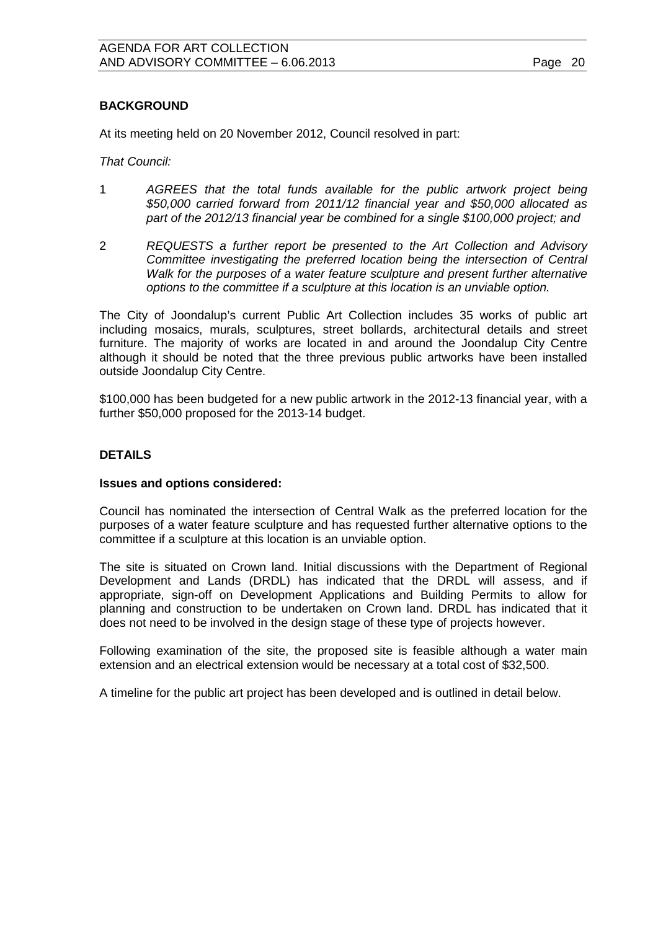## **BACKGROUND**

At its meeting held on 20 November 2012, Council resolved in part:

*That Council:* 

- 1 *AGREES that the total funds available for the public artwork project being \$50,000 carried forward from 2011/12 financial year and \$50,000 allocated as part of the 2012/13 financial year be combined for a single \$100,000 project; and*
- 2 *REQUESTS a further report be presented to the Art Collection and Advisory Committee investigating the preferred location being the intersection of Central Walk for the purposes of a water feature sculpture and present further alternative options to the committee if a sculpture at this location is an unviable option.*

The City of Joondalup's current Public Art Collection includes 35 works of public art including mosaics, murals, sculptures, street bollards, architectural details and street furniture. The majority of works are located in and around the Joondalup City Centre although it should be noted that the three previous public artworks have been installed outside Joondalup City Centre.

\$100,000 has been budgeted for a new public artwork in the 2012-13 financial year, with a further \$50,000 proposed for the 2013-14 budget.

## **DETAILS**

### **Issues and options considered:**

Council has nominated the intersection of Central Walk as the preferred location for the purposes of a water feature sculpture and has requested further alternative options to the committee if a sculpture at this location is an unviable option.

The site is situated on Crown land. Initial discussions with the Department of Regional Development and Lands (DRDL) has indicated that the DRDL will assess, and if appropriate, sign-off on Development Applications and Building Permits to allow for planning and construction to be undertaken on Crown land. DRDL has indicated that it does not need to be involved in the design stage of these type of projects however.

Following examination of the site, the proposed site is feasible although a water main extension and an electrical extension would be necessary at a total cost of \$32,500.

A timeline for the public art project has been developed and is outlined in detail below.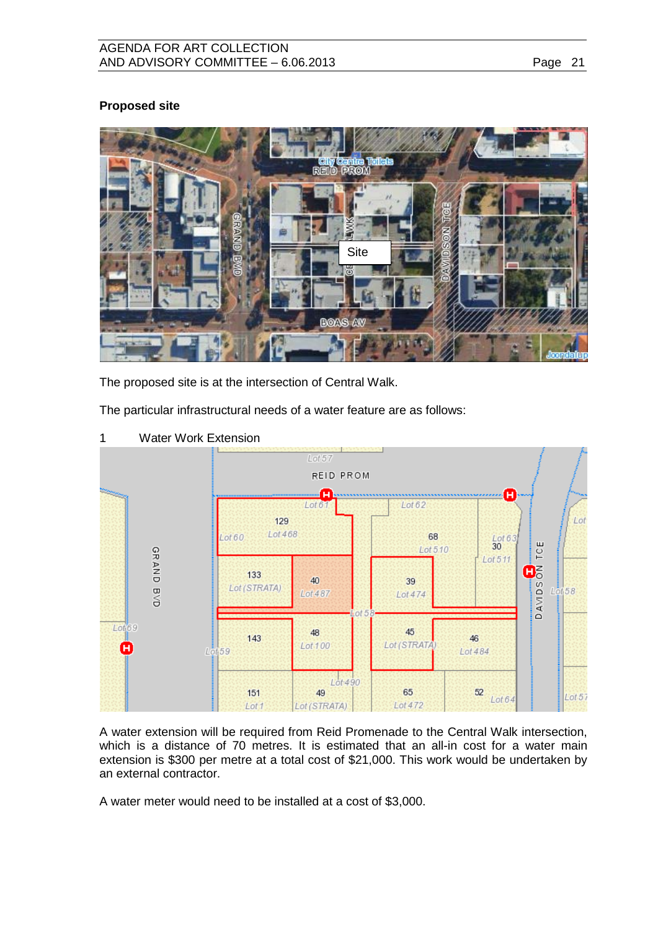## **Proposed site**



The proposed site is at the intersection of Central Walk.

The particular infrastructural needs of a water feature are as follows:



1 Water Work Extension

A water extension will be required from Reid Promenade to the Central Walk intersection, which is a distance of 70 metres. It is estimated that an all-in cost for a water main extension is \$300 per metre at a total cost of \$21,000. This work would be undertaken by an external contractor.

A water meter would need to be installed at a cost of \$3,000.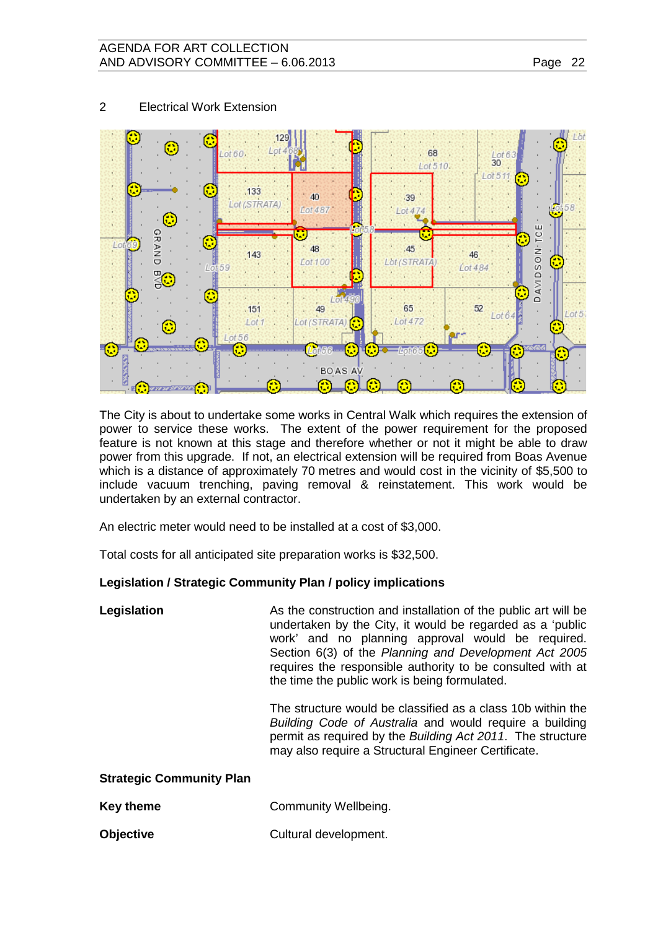## AGENDA FOR ART COLLECTION AND ADVISORY COMMITTEE – 6.06.2013 Page 22



2 Electrical Work Extension

The City is about to undertake some works in Central Walk which requires the extension of power to service these works. The extent of the power requirement for the proposed feature is not known at this stage and therefore whether or not it might be able to draw power from this upgrade. If not, an electrical extension will be required from Boas Avenue which is a distance of approximately 70 metres and would cost in the vicinity of \$5,500 to include vacuum trenching, paving removal & reinstatement. This work would be undertaken by an external contractor.

An electric meter would need to be installed at a cost of \$3,000.

Total costs for all anticipated site preparation works is \$32,500.

## **Legislation / Strategic Community Plan / policy implications**

| Legislation | As the construction and installation of the public art will be<br>undertaken by the City, it would be regarded as a 'public<br>work' and no planning approval would be required.<br>Section 6(3) of the Planning and Development Act 2005<br>requires the responsible authority to be consulted with at<br>the time the public work is being formulated. |
|-------------|----------------------------------------------------------------------------------------------------------------------------------------------------------------------------------------------------------------------------------------------------------------------------------------------------------------------------------------------------------|
|             |                                                                                                                                                                                                                                                                                                                                                          |

The structure would be classified as a class 10b within the *Building Code of Australia* and would require a building permit as required by the *Building Act 2011*. The structure may also require a Structural Engineer Certificate.

### **Strategic Community Plan**

| Key theme        | Community Wellbeing.  |
|------------------|-----------------------|
| <b>Objective</b> | Cultural development. |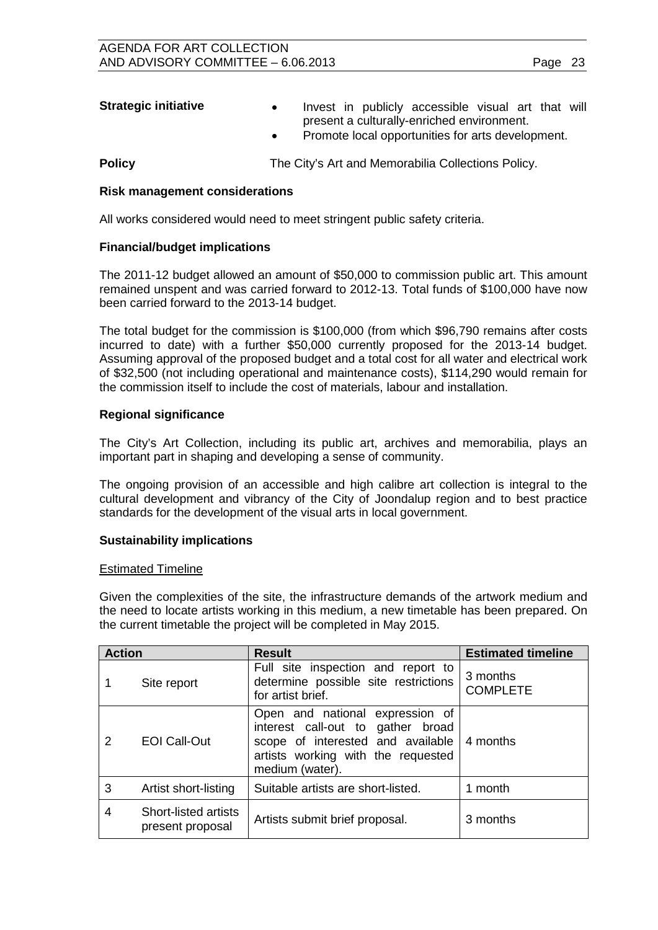| <b>Strategic initiative</b> |  | Invest in publicly accessible visual art that will      |  |  |
|-----------------------------|--|---------------------------------------------------------|--|--|
|                             |  | present a culturally-enriched environment.              |  |  |
|                             |  | <b>Promoto local opportunities for arts development</b> |  |  |

• Promote local opportunities for arts development.

**Policy The City's Art and Memorabilia Collections Policy.** 

## **Risk management considerations**

All works considered would need to meet stringent public safety criteria.

## **Financial/budget implications**

The 2011-12 budget allowed an amount of \$50,000 to commission public art. This amount remained unspent and was carried forward to 2012-13. Total funds of \$100,000 have now been carried forward to the 2013-14 budget.

The total budget for the commission is \$100,000 (from which \$96,790 remains after costs incurred to date) with a further \$50,000 currently proposed for the 2013-14 budget. Assuming approval of the proposed budget and a total cost for all water and electrical work of \$32,500 (not including operational and maintenance costs), \$114,290 would remain for the commission itself to include the cost of materials, labour and installation.

## **Regional significance**

The City's Art Collection, including its public art, archives and memorabilia, plays an important part in shaping and developing a sense of community.

The ongoing provision of an accessible and high calibre art collection is integral to the cultural development and vibrancy of the City of Joondalup region and to best practice standards for the development of the visual arts in local government.

### **Sustainability implications**

### Estimated Timeline

Given the complexities of the site, the infrastructure demands of the artwork medium and the need to locate artists working in this medium, a new timetable has been prepared. On the current timetable the project will be completed in May 2015.

| <b>Action</b> |                                          | <b>Result</b>                                                                                                                                                      | <b>Estimated timeline</b>   |  |
|---------------|------------------------------------------|--------------------------------------------------------------------------------------------------------------------------------------------------------------------|-----------------------------|--|
|               | Site report                              | Full site inspection and report to<br>determine possible site restrictions<br>for artist brief.                                                                    | 3 months<br><b>COMPLETE</b> |  |
| 2             | <b>EOI Call-Out</b>                      | Open and national expression of<br>interest call-out to gather broad<br>scope of interested and available<br>artists working with the requested<br>medium (water). | 4 months                    |  |
| 3             | Artist short-listing                     | Suitable artists are short-listed.                                                                                                                                 | 1 month                     |  |
| 4             | Short-listed artists<br>present proposal | Artists submit brief proposal.                                                                                                                                     | 3 months                    |  |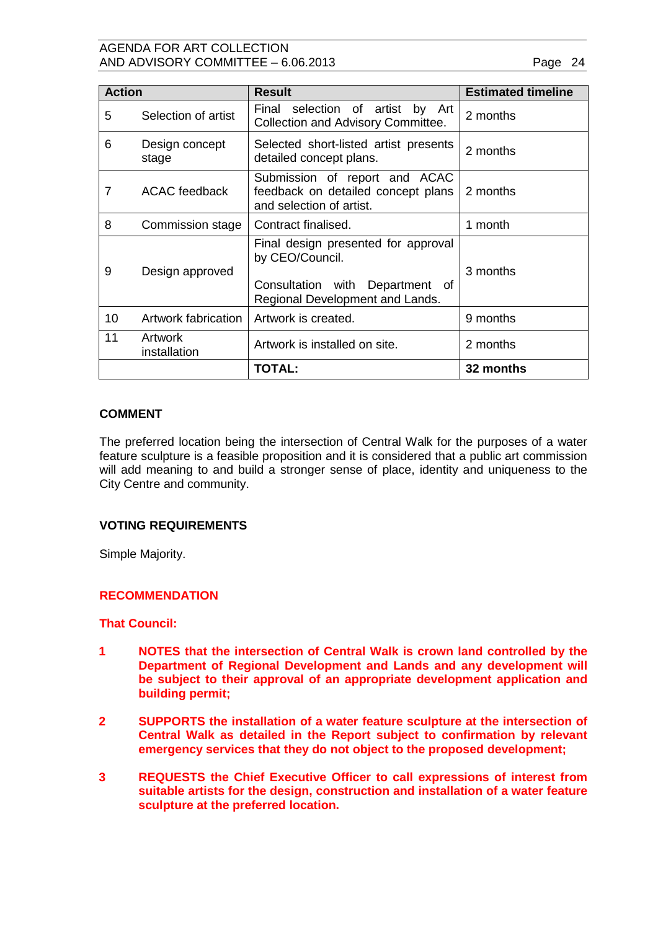## AGENDA FOR ART COLLECTION AND ADVISORY COMMITTEE – 6.06.2013 Page 24

| <b>Action</b> |                         | <b>Result</b>                                                                                                                | <b>Estimated timeline</b> |  |
|---------------|-------------------------|------------------------------------------------------------------------------------------------------------------------------|---------------------------|--|
| 5             | Selection of artist     | Final selection of artist by Art<br>Collection and Advisory Committee.                                                       | 2 months                  |  |
| 6             | Design concept<br>stage | Selected short-listed artist presents<br>detailed concept plans.                                                             | 2 months                  |  |
| 7             | <b>ACAC</b> feedback    | Submission of report and ACAC<br>feedback on detailed concept plans<br>and selection of artist.                              | 2 months                  |  |
| 8             | Commission stage        | Contract finalised.                                                                                                          | 1 month                   |  |
| 9             | Design approved         | Final design presented for approval<br>by CEO/Council.<br>Consultation with Department of<br>Regional Development and Lands. | 3 months                  |  |
| 10            | Artwork fabrication     | Artwork is created.                                                                                                          | 9 months                  |  |
| 11            | Artwork<br>installation | Artwork is installed on site.                                                                                                | 2 months                  |  |
|               |                         | TOTAL:                                                                                                                       | 32 months                 |  |

## **COMMENT**

The preferred location being the intersection of Central Walk for the purposes of a water feature sculpture is a feasible proposition and it is considered that a public art commission will add meaning to and build a stronger sense of place, identity and uniqueness to the City Centre and community.

## **VOTING REQUIREMENTS**

Simple Majority.

### **RECOMMENDATION**

**That Council:**

- **1 NOTES that the intersection of Central Walk is crown land controlled by the Department of Regional Development and Lands and any development will be subject to their approval of an appropriate development application and building permit;**
- **2 SUPPORTS the installation of a water feature sculpture at the intersection of Central Walk as detailed in the Report subject to confirmation by relevant emergency services that they do not object to the proposed development;**
- **3 REQUESTS the Chief Executive Officer to call expressions of interest from suitable artists for the design, construction and installation of a water feature sculpture at the preferred location.**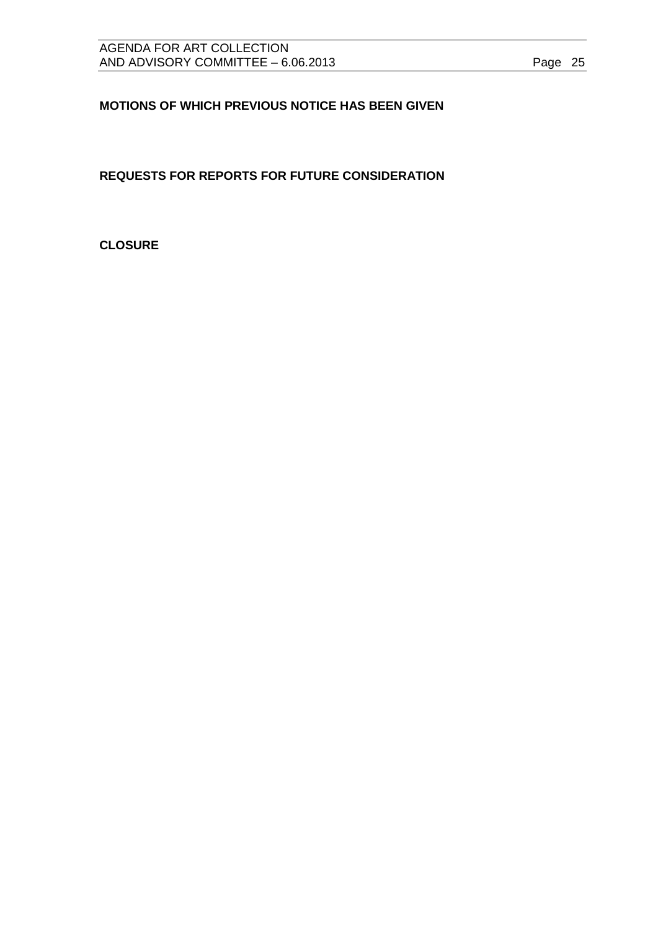## <span id="page-24-0"></span>**MOTIONS OF WHICH PREVIOUS NOTICE HAS BEEN GIVEN**

<span id="page-24-1"></span>**REQUESTS FOR REPORTS FOR FUTURE CONSIDERATION**

<span id="page-24-2"></span>**CLOSURE**